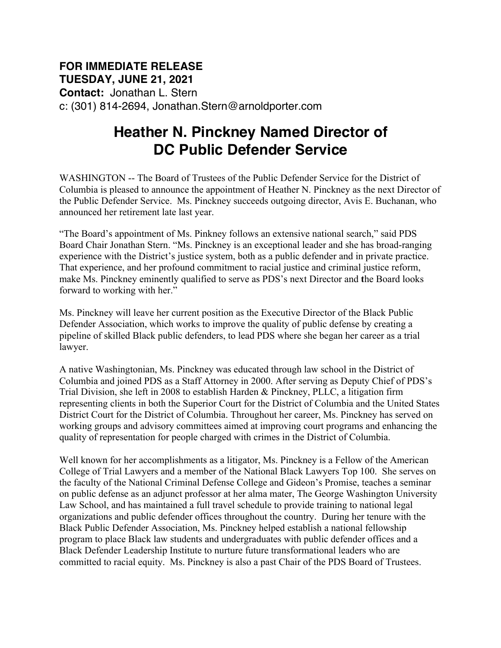## **FOR IMMEDIATE RELEASE TUESDAY, JUNE 21, 2021 Contact:** Jonathan L. Stern c: (301) 814-2694, Jonathan.Stern@arnoldporter.com

## **Heather N. Pinckney Named Director of DC Public Defender Service**

WASHINGTON -- The Board of Trustees of the Public Defender Service for the District of Columbia is pleased to announce the appointment of Heather N. Pinckney as the next Director of the Public Defender Service. Ms. Pinckney succeeds outgoing director, Avis E. Buchanan, who announced her retirement late last year.

"The Board's appointment of Ms. Pinkney follows an extensive national search," said PDS Board Chair Jonathan Stern. "Ms. Pinckney is an exceptional leader and she has broad-ranging experience with the District's justice system, both as a public defender and in private practice. That experience, and her profound commitment to racial justice and criminal justice reform, make Ms. Pinckney eminently qualified to serve as PDS's next Director and **t**he Board looks forward to working with her."

Ms. Pinckney will leave her current position as the Executive Director of the Black Public Defender Association, which works to improve the quality of public defense by creating a pipeline of skilled Black public defenders, to lead PDS where she began her career as a trial lawyer.

A native Washingtonian, Ms. Pinckney was educated through law school in the District of Columbia and joined PDS as a Staff Attorney in 2000. After serving as Deputy Chief of PDS's Trial Division, she left in 2008 to establish Harden & Pinckney, PLLC, a litigation firm representing clients in both the Superior Court for the District of Columbia and the United States District Court for the District of Columbia. Throughout her career, Ms. Pinckney has served on working groups and advisory committees aimed at improving court programs and enhancing the quality of representation for people charged with crimes in the District of Columbia.

Well known for her accomplishments as a litigator, Ms. Pinckney is a Fellow of the American College of Trial Lawyers and a member of the National Black Lawyers Top 100. She serves on the faculty of the National Criminal Defense College and Gideon's Promise, teaches a seminar on public defense as an adjunct professor at her alma mater, The George Washington University Law School, and has maintained a full travel schedule to provide training to national legal organizations and public defender offices throughout the country. During her tenure with the Black Public Defender Association, Ms. Pinckney helped establish a national fellowship program to place Black law students and undergraduates with public defender offices and a Black Defender Leadership Institute to nurture future transformational leaders who are committed to racial equity. Ms. Pinckney is also a past Chair of the PDS Board of Trustees.